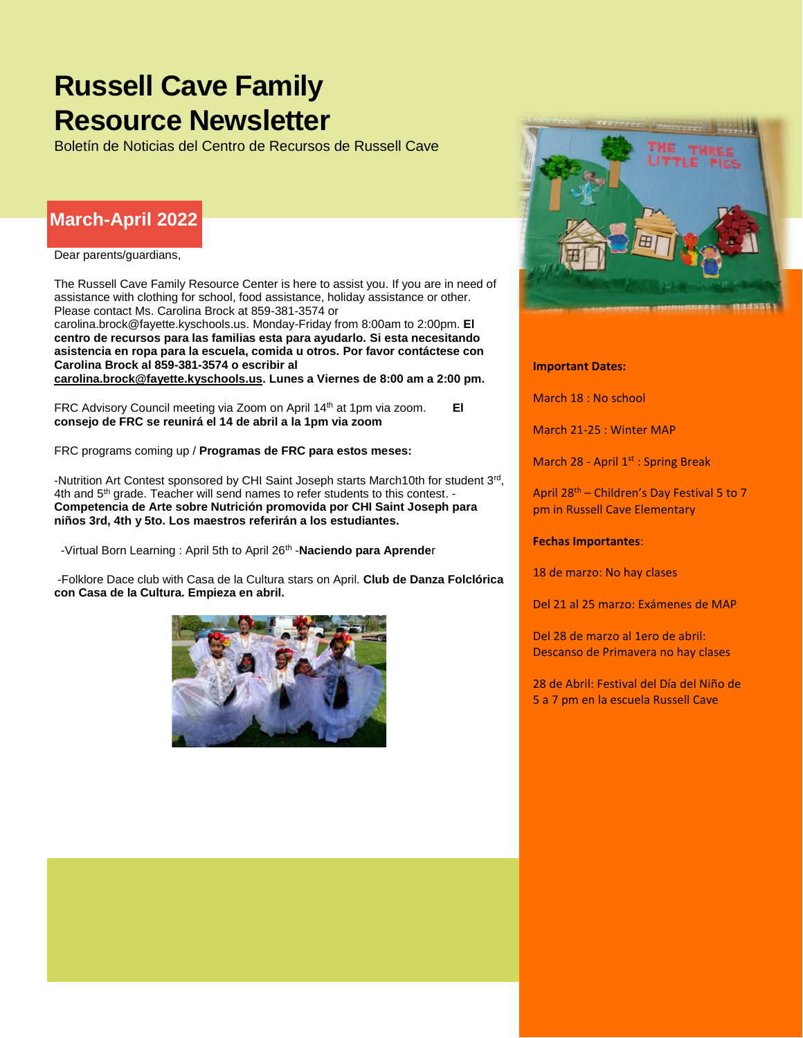# **Russell Cave Family Resource Newsletter**

Boletín de Noticias del Centro de Recursos de Russell Cave

## **March-April 2022**

Dear parents/guardians,

The Russell Cave Family Resource Center is here to assist you. If you are in need of assistance with clothing for school, food assistance, holiday assistance or other. Please contact Ms. Carolina Brock at 859-381-3574 or

[carolina.brock@fayette.kyschools.us.](mailto:carolina.brock@fayette.kyschools.us) Monday-Friday from 8:00am to 2:00pm. **El centro de recursos para las familias esta para ayudarlo. Si esta necesitando asistencia en ropa para la escuela, comida u otros. Por favor contáctese con Carolina Brock al 859-381-3574 o escribir al** 

**[carolina.brock@fayette.kyschools.us.](mailto:carolina.brock@fayette.kyschools.us) Lunes a Viernes de 8:00 am a 2:00 pm.** 

FRC Advisory Council meeting via Zoom on April 14th at 1pm via zoom. **El consejo de FRC se reunirá el 14 de abril a la 1pm via zoom**

FRC programs coming up / **Programas de FRC para estos meses:**

-Nutrition Art Contest sponsored by CHI Saint Joseph starts March10th for student 3<sup>rd</sup>, 4th and 5<sup>th</sup> grade. Teacher will send names to refer students to this contest. -**Competencia de Arte sobre Nutrición promovida por CHI Saint Joseph para niños 3rd, 4th y 5to. Los maestros referirán a los estudiantes.**

-Virtual Born Learning: April 5th to April 26<sup>th</sup> - **Naciendo para Aprende**r

-Folklore Dace club with Casa de la Cultura stars on April. **Club de Danza Folclórica con Casa de la Cultura. Empieza en abril.**





#### **Important Dates:**

March 18 : No school

March 21-25 : Winter MAP

March 28 - April  $1^{st}$  : Spring Break

April 28th – Children's Day Festival 5 to 7 pm in Russell Cave Elementary

**Fechas Importantes**:

18 de marzo: No hay clases

Del 21 al 25 marzo: Exámenes de MAP

Del 28 de marzo al 1ero de abril: Descanso de Primavera no hay clases

28 de Abril: Festival del Día del Niño de 5 a 7 pm en la escuela Russell Cave